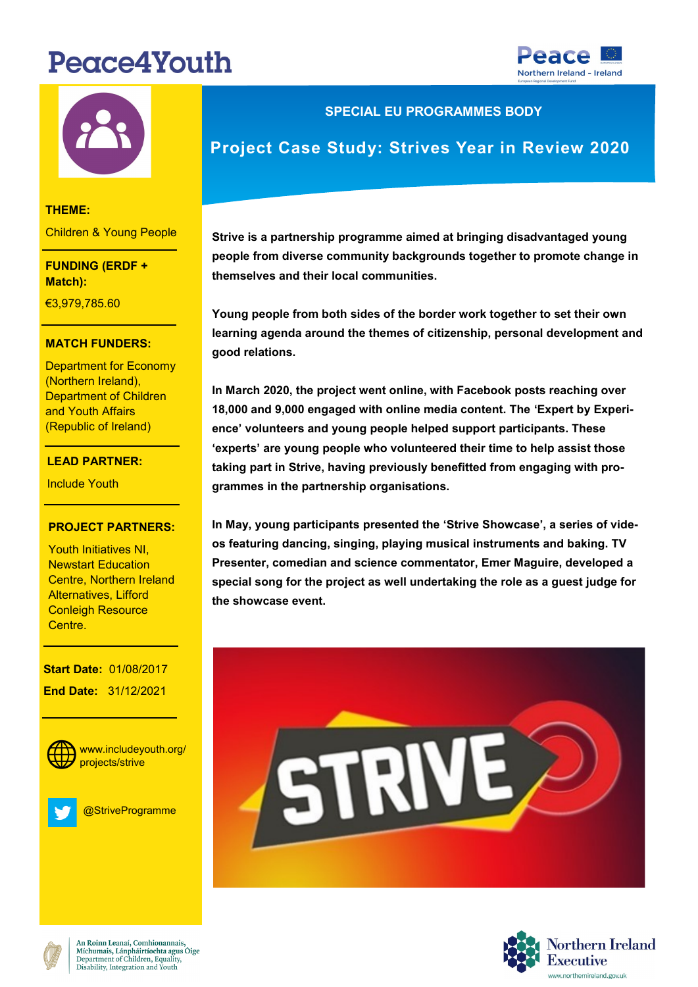# Peace4Youth





**THEME:** Children & Young People

**FUNDING (ERDF + Match):** 

€3,979,785.60

#### **MATCH FUNDERS:**

(Northern Ireland), Department of Children Department for Economy and Youth Affairs (Republic of Ireland)

### **FUNDING:**<br>FUNDING: **LEAD PARTNER:**

Include Youth

## **LEAD PARTNER: PROJECT PARTNERS:**

Youth Initiatives NI, Newstart Education Alternatives, Lifford Conleigh Resource Centre, Northern Ireland Centre.

**Start Date: 01/08/2017 End Date:** 31/12/2021



www.includeyouth.org/ projects/strive

@StriveProgramme

### **SPECIAL EU PROGRAMMES BODY**

## **Project Case Study: Strives Year in Review 2020**

**Strive is a partnership programme aimed at bringing disadvantaged young people from diverse community backgrounds together to promote change in themselves and their local communities.** 

**Young people from both sides of the border work together to set their own learning agenda around the themes of citizenship, personal development and good relations.** 

**In March 2020, the project went online, with Facebook posts reaching over 18,000 and 9,000 engaged with online media content. The 'Expert by Experience' volunteers and young people helped support participants. These 'experts' are young people who volunteered their time to help assist those taking part in Strive, having previously benefitted from engaging with programmes in the partnership organisations.** 

**In May, young participants presented the 'Strive Showcase', a series of videos featuring dancing, singing, playing musical instruments and baking. TV Presenter, comedian and science commentator, Emer Maguire, developed a special song for the project as well undertaking the role as a guest judge for the showcase event.** 





An Roinn Leanaí, Comhionannais Míchumais, Lánpháirtíochta agus Óige Department of Children, Equality, Disability, Integration and Youth